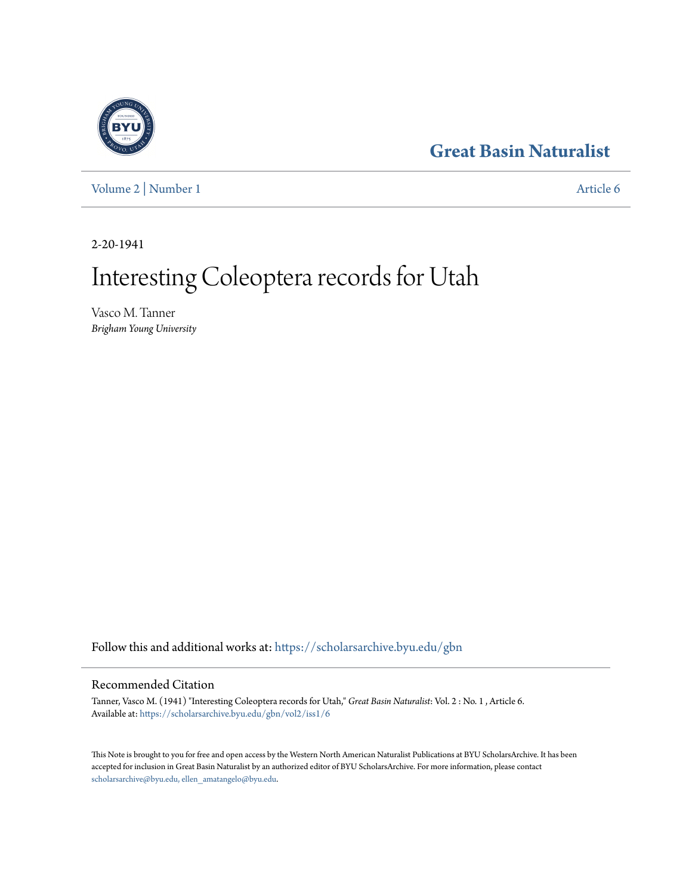## **[Great Basin Naturalist](https://scholarsarchive.byu.edu/gbn?utm_source=scholarsarchive.byu.edu%2Fgbn%2Fvol2%2Fiss1%2F6&utm_medium=PDF&utm_campaign=PDFCoverPages)**

[Volume 2](https://scholarsarchive.byu.edu/gbn/vol2?utm_source=scholarsarchive.byu.edu%2Fgbn%2Fvol2%2Fiss1%2F6&utm_medium=PDF&utm_campaign=PDFCoverPages) | [Number 1](https://scholarsarchive.byu.edu/gbn/vol2/iss1?utm_source=scholarsarchive.byu.edu%2Fgbn%2Fvol2%2Fiss1%2F6&utm_medium=PDF&utm_campaign=PDFCoverPages) [Article 6](https://scholarsarchive.byu.edu/gbn/vol2/iss1/6?utm_source=scholarsarchive.byu.edu%2Fgbn%2Fvol2%2Fiss1%2F6&utm_medium=PDF&utm_campaign=PDFCoverPages)

2-20-1941

# Interesting Coleoptera records for Utah

Vasco M. Tanner *Brigham Young University*

Follow this and additional works at: [https://scholarsarchive.byu.edu/gbn](https://scholarsarchive.byu.edu/gbn?utm_source=scholarsarchive.byu.edu%2Fgbn%2Fvol2%2Fiss1%2F6&utm_medium=PDF&utm_campaign=PDFCoverPages)

### Recommended Citation

Tanner, Vasco M. (1941) "Interesting Coleoptera records for Utah," *Great Basin Naturalist*: Vol. 2 : No. 1 , Article 6. Available at: [https://scholarsarchive.byu.edu/gbn/vol2/iss1/6](https://scholarsarchive.byu.edu/gbn/vol2/iss1/6?utm_source=scholarsarchive.byu.edu%2Fgbn%2Fvol2%2Fiss1%2F6&utm_medium=PDF&utm_campaign=PDFCoverPages)

This Note is brought to you for free and open access by the Western North American Naturalist Publications at BYU ScholarsArchive. It has been accepted for inclusion in Great Basin Naturalist by an authorized editor of BYU ScholarsArchive. For more information, please contact [scholarsarchive@byu.edu, ellen\\_amatangelo@byu.edu.](mailto:scholarsarchive@byu.edu,%20ellen_amatangelo@byu.edu)